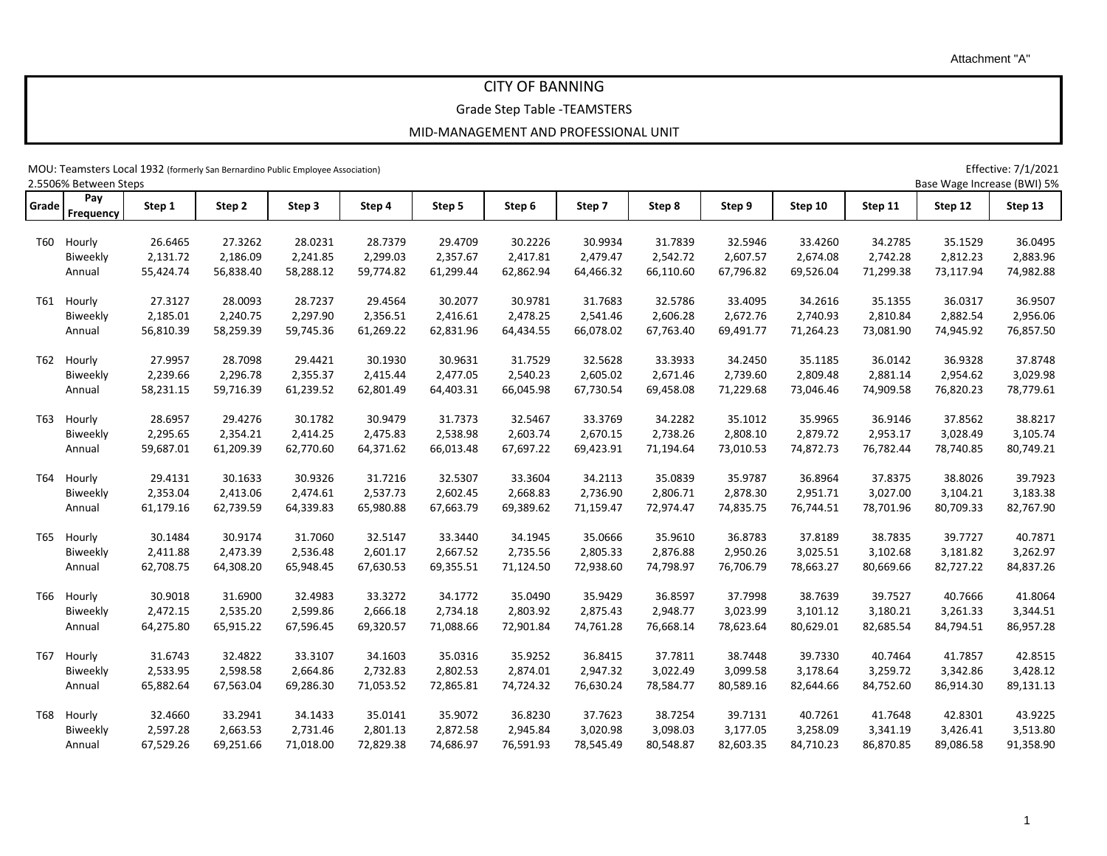1

Attachment "A"

## CITY OF BANNING

Grade Step Table -TEAMSTERS

MOU: Teamsters Local 1932 (formerly San Bernardino Public Employee Association) Effective: 7/1/2021

|       | 2.5506% Between Steps |           |           |           |           |           |           |           |           |           |           |           | Base Wage Increase (BWI) 5% |           |
|-------|-----------------------|-----------|-----------|-----------|-----------|-----------|-----------|-----------|-----------|-----------|-----------|-----------|-----------------------------|-----------|
| Grade | Pay<br>Frequency      | Step 1    | Step 2    | Step 3    | Step 4    | Step 5    | Step 6    | Step 7    | Step 8    | Step 9    | Step 10   | Step 11   | Step 12                     | Step 13   |
|       | T60 Hourly            | 26.6465   | 27.3262   | 28.0231   | 28.7379   | 29.4709   | 30.2226   | 30.9934   | 31.7839   | 32.5946   | 33.4260   | 34.2785   | 35.1529                     | 36.0495   |
|       | Biweekly              | 2,131.72  | 2,186.09  | 2,241.85  | 2,299.03  | 2,357.67  | 2,417.81  | 2,479.47  | 2,542.72  | 2,607.57  | 2,674.08  | 2,742.28  | 2,812.23                    | 2,883.96  |
|       | Annual                | 55,424.74 | 56,838.40 | 58,288.12 | 59,774.82 | 61,299.44 | 62,862.94 | 64,466.32 | 66,110.60 | 67,796.82 | 69,526.04 | 71,299.38 | 73,117.94                   | 74,982.88 |
|       |                       |           |           |           |           |           |           |           |           |           |           |           |                             |           |
| T61   | Hourly                | 27.3127   | 28.0093   | 28.7237   | 29.4564   | 30.2077   | 30.9781   | 31.7683   | 32.5786   | 33.4095   | 34.2616   | 35.1355   | 36.0317                     | 36.9507   |
|       | Biweekly              | 2,185.01  | 2,240.75  | 2,297.90  | 2,356.51  | 2,416.61  | 2,478.25  | 2,541.46  | 2,606.28  | 2,672.76  | 2,740.93  | 2,810.84  | 2,882.54                    | 2,956.06  |
|       | Annual                | 56,810.39 | 58,259.39 | 59,745.36 | 61,269.22 | 62,831.96 | 64,434.55 | 66,078.02 | 67,763.40 | 69,491.77 | 71,264.23 | 73,081.90 | 74,945.92                   | 76,857.50 |
| T62   | Hourly                | 27.9957   | 28.7098   | 29.4421   | 30.1930   | 30.9631   | 31.7529   | 32.5628   | 33.3933   | 34.2450   | 35.1185   | 36.0142   | 36.9328                     | 37.8748   |
|       | Biweekly              | 2,239.66  | 2,296.78  | 2,355.37  | 2,415.44  | 2,477.05  | 2,540.23  | 2,605.02  | 2,671.46  | 2,739.60  | 2,809.48  | 2,881.14  | 2,954.62                    | 3,029.98  |
|       | Annual                | 58,231.15 | 59,716.39 | 61,239.52 | 62,801.49 | 64,403.31 | 66,045.98 | 67,730.54 | 69,458.08 | 71,229.68 | 73,046.46 | 74,909.58 | 76,820.23                   | 78,779.61 |
|       |                       |           |           |           |           |           |           |           |           |           |           |           |                             |           |
| T63   | Hourly                | 28.6957   | 29.4276   | 30.1782   | 30.9479   | 31.7373   | 32.5467   | 33.3769   | 34.2282   | 35.1012   | 35.9965   | 36.9146   | 37.8562                     | 38.8217   |
|       | Biweekly              | 2,295.65  | 2,354.21  | 2,414.25  | 2,475.83  | 2,538.98  | 2,603.74  | 2,670.15  | 2,738.26  | 2,808.10  | 2,879.72  | 2,953.17  | 3,028.49                    | 3,105.74  |
|       | Annual                | 59,687.01 | 61,209.39 | 62,770.60 | 64,371.62 | 66,013.48 | 67,697.22 | 69,423.91 | 71,194.64 | 73,010.53 | 74,872.73 | 76,782.44 | 78,740.85                   | 80,749.21 |
| T64   | Hourly                | 29.4131   | 30.1633   | 30.9326   | 31.7216   | 32.5307   | 33.3604   | 34.2113   | 35.0839   | 35.9787   | 36.8964   | 37.8375   | 38.8026                     | 39.7923   |
|       | Biweekly              | 2,353.04  | 2,413.06  | 2,474.61  | 2,537.73  | 2,602.45  | 2,668.83  | 2,736.90  | 2,806.71  | 2,878.30  | 2,951.71  | 3,027.00  | 3,104.21                    | 3,183.38  |
|       | Annual                | 61,179.16 | 62,739.59 | 64,339.83 | 65,980.88 | 67,663.79 | 69,389.62 | 71,159.47 | 72,974.47 | 74,835.75 | 76,744.51 | 78,701.96 | 80,709.33                   | 82,767.90 |
|       |                       |           |           |           |           |           |           |           |           |           |           |           |                             |           |
| T65   | Hourly                | 30.1484   | 30.9174   | 31.7060   | 32.5147   | 33.3440   | 34.1945   | 35.0666   | 35.9610   | 36.8783   | 37.8189   | 38.7835   | 39.7727                     | 40.7871   |
|       | Biweekly              | 2,411.88  | 2,473.39  | 2,536.48  | 2,601.17  | 2,667.52  | 2,735.56  | 2,805.33  | 2,876.88  | 2,950.26  | 3,025.51  | 3,102.68  | 3,181.82                    | 3,262.97  |
|       | Annual                | 62,708.75 | 64,308.20 | 65,948.45 | 67,630.53 | 69,355.51 | 71,124.50 | 72,938.60 | 74,798.97 | 76,706.79 | 78,663.27 | 80,669.66 | 82,727.22                   | 84,837.26 |
| T66   | Hourly                | 30.9018   | 31.6900   | 32.4983   | 33.3272   | 34.1772   | 35.0490   | 35.9429   | 36.8597   | 37.7998   | 38.7639   | 39.7527   | 40.7666                     | 41.8064   |
|       | Biweekly              | 2,472.15  | 2,535.20  | 2,599.86  | 2,666.18  | 2,734.18  | 2,803.92  | 2,875.43  | 2,948.77  | 3,023.99  | 3,101.12  | 3,180.21  | 3,261.33                    | 3,344.51  |
|       | Annual                | 64,275.80 | 65,915.22 | 67,596.45 | 69,320.57 | 71,088.66 | 72,901.84 | 74,761.28 | 76,668.14 | 78,623.64 | 80,629.01 | 82,685.54 | 84,794.51                   | 86,957.28 |
| T67   | Hourly                | 31.6743   | 32.4822   | 33.3107   | 34.1603   | 35.0316   | 35.9252   | 36.8415   | 37.7811   | 38.7448   | 39.7330   | 40.7464   | 41.7857                     | 42.8515   |
|       | Biweekly              | 2,533.95  | 2,598.58  | 2,664.86  | 2,732.83  | 2,802.53  | 2,874.01  | 2,947.32  | 3,022.49  | 3,099.58  | 3,178.64  | 3,259.72  | 3,342.86                    | 3,428.12  |
|       |                       | 65,882.64 | 67,563.04 | 69,286.30 | 71,053.52 | 72,865.81 | 74,724.32 | 76,630.24 | 78,584.77 | 80,589.16 | 82,644.66 | 84,752.60 | 86,914.30                   | 89,131.13 |
|       | Annual                |           |           |           |           |           |           |           |           |           |           |           |                             |           |
| T68   | Hourly                | 32.4660   | 33.2941   | 34.1433   | 35.0141   | 35.9072   | 36.8230   | 37.7623   | 38.7254   | 39.7131   | 40.7261   | 41.7648   | 42.8301                     | 43.9225   |
|       | Biweekly              | 2,597.28  | 2,663.53  | 2,731.46  | 2,801.13  | 2,872.58  | 2,945.84  | 3,020.98  | 3,098.03  | 3,177.05  | 3,258.09  | 3,341.19  | 3,426.41                    | 3,513.80  |
|       | Annual                | 67,529.26 | 69,251.66 | 71,018.00 | 72,829.38 | 74,686.97 | 76,591.93 | 78,545.49 | 80,548.87 | 82,603.35 | 84,710.23 | 86,870.85 | 89,086.58                   | 91,358.90 |
|       |                       |           |           |           |           |           |           |           |           |           |           |           |                             |           |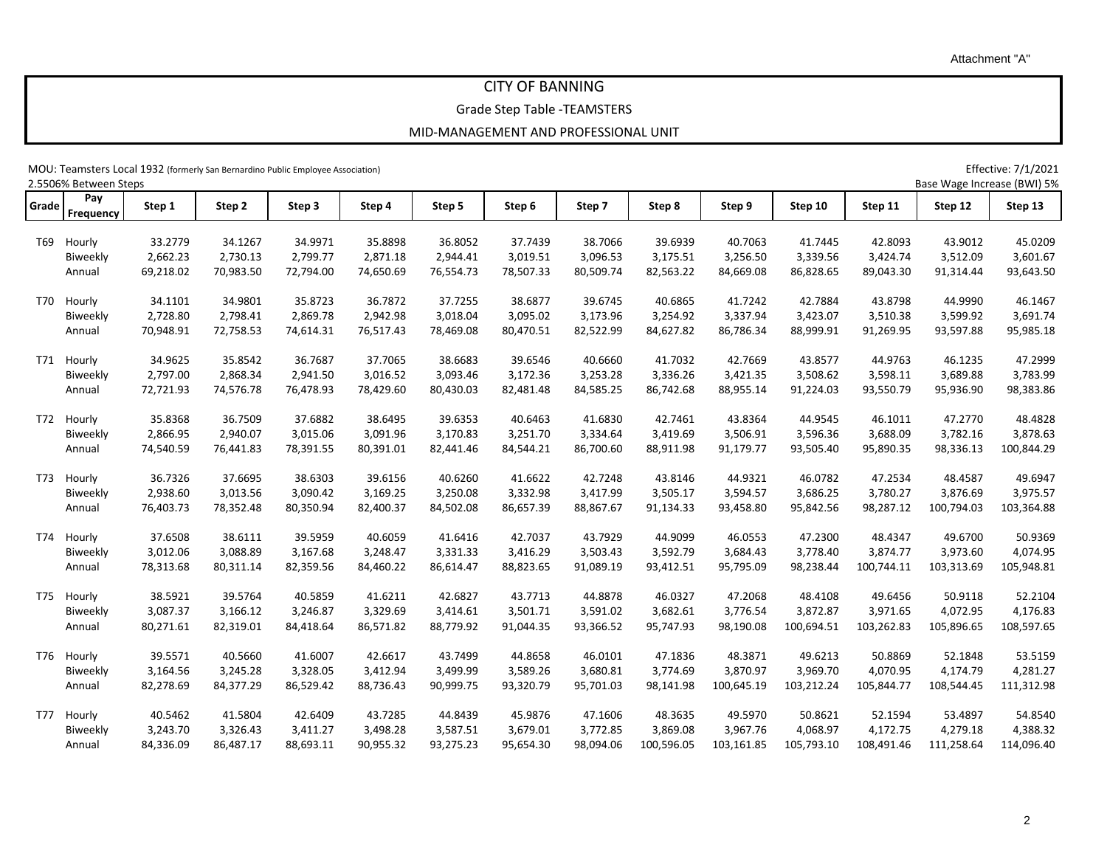2

Attachment "A"

## CITY OF BANNING

Grade Step Table -TEAMSTERS

MOU: Teamsters Local 1932 (formerly San Bernardino Public Employee Association) example and the structure of the Change of the Structure: 7/1/2021

|       | 2.5506% Between Steps |           |           |           |           |           |           |           |            |            |            |            | Base Wage Increase (BWI) 5% |            |
|-------|-----------------------|-----------|-----------|-----------|-----------|-----------|-----------|-----------|------------|------------|------------|------------|-----------------------------|------------|
| Grade | Pay<br>Frequency      | Step 1    | Step 2    | Step 3    | Step 4    | Step 5    | Step 6    | Step 7    | Step 8     | Step 9     | Step 10    | Step 11    | Step 12                     | Step 13    |
| T69   | Hourly                | 33.2779   | 34.1267   | 34.9971   | 35.8898   | 36.8052   | 37.7439   | 38.7066   | 39.6939    | 40.7063    | 41.7445    | 42.8093    | 43.9012                     | 45.0209    |
|       | Biweekly              | 2,662.23  | 2,730.13  | 2,799.77  | 2,871.18  | 2,944.41  | 3,019.51  | 3,096.53  | 3,175.51   | 3,256.50   | 3,339.56   | 3,424.74   | 3,512.09                    | 3,601.67   |
|       | Annual                | 69,218.02 | 70,983.50 | 72,794.00 | 74,650.69 | 76,554.73 | 78,507.33 | 80,509.74 | 82,563.22  | 84,669.08  | 86,828.65  | 89,043.30  | 91,314.44                   | 93,643.50  |
|       |                       |           |           |           |           |           |           |           |            |            |            |            |                             |            |
| T70   | Hourly                | 34.1101   | 34.9801   | 35.8723   | 36.7872   | 37.7255   | 38.6877   | 39.6745   | 40.6865    | 41.7242    | 42.7884    | 43.8798    | 44.9990                     | 46.1467    |
|       | Biweekly              | 2,728.80  | 2,798.41  | 2,869.78  | 2,942.98  | 3,018.04  | 3,095.02  | 3,173.96  | 3,254.92   | 3,337.94   | 3,423.07   | 3,510.38   | 3,599.92                    | 3,691.74   |
|       | Annual                | 70,948.91 | 72,758.53 | 74,614.31 | 76,517.43 | 78,469.08 | 80,470.51 | 82,522.99 | 84,627.82  | 86,786.34  | 88,999.91  | 91,269.95  | 93,597.88                   | 95,985.18  |
| T71   | Hourly                | 34.9625   | 35.8542   | 36.7687   | 37.7065   | 38.6683   | 39.6546   | 40.6660   | 41.7032    | 42.7669    | 43.8577    | 44.9763    | 46.1235                     | 47.2999    |
|       | Biweekly              | 2,797.00  | 2,868.34  | 2,941.50  | 3,016.52  | 3,093.46  | 3,172.36  | 3,253.28  | 3,336.26   | 3,421.35   | 3,508.62   | 3,598.11   | 3,689.88                    | 3,783.99   |
|       | Annual                | 72,721.93 | 74,576.78 | 76,478.93 | 78,429.60 | 80,430.03 | 82,481.48 | 84,585.25 | 86,742.68  | 88,955.14  | 91,224.03  | 93,550.79  | 95,936.90                   | 98,383.86  |
| T72   | Hourly                | 35.8368   | 36.7509   | 37.6882   | 38.6495   | 39.6353   | 40.6463   | 41.6830   | 42.7461    | 43.8364    | 44.9545    | 46.1011    | 47.2770                     | 48.4828    |
|       | Biweekly              | 2,866.95  | 2,940.07  | 3,015.06  | 3,091.96  | 3,170.83  | 3,251.70  | 3,334.64  | 3,419.69   | 3,506.91   | 3,596.36   | 3,688.09   | 3,782.16                    | 3,878.63   |
|       | Annual                | 74,540.59 | 76,441.83 | 78,391.55 | 80,391.01 | 82,441.46 | 84,544.21 | 86,700.60 | 88,911.98  | 91,179.77  | 93,505.40  | 95,890.35  | 98,336.13                   | 100,844.29 |
|       |                       |           |           |           |           |           |           |           |            |            |            |            |                             |            |
| T73   | Hourly                | 36.7326   | 37.6695   | 38.6303   | 39.6156   | 40.6260   | 41.6622   | 42.7248   | 43.8146    | 44.9321    | 46.0782    | 47.2534    | 48.4587                     | 49.6947    |
|       | Biweekly              | 2,938.60  | 3,013.56  | 3,090.42  | 3,169.25  | 3,250.08  | 3,332.98  | 3,417.99  | 3,505.17   | 3,594.57   | 3,686.25   | 3,780.27   | 3,876.69                    | 3,975.57   |
|       | Annual                | 76,403.73 | 78,352.48 | 80,350.94 | 82,400.37 | 84,502.08 | 86,657.39 | 88,867.67 | 91,134.33  | 93,458.80  | 95,842.56  | 98,287.12  | 100,794.03                  | 103,364.88 |
| T74   | Hourly                | 37.6508   | 38.6111   | 39.5959   | 40.6059   | 41.6416   | 42.7037   | 43.7929   | 44.9099    | 46.0553    | 47.2300    | 48.4347    | 49.6700                     | 50.9369    |
|       | Biweekly              | 3,012.06  | 3,088.89  | 3,167.68  | 3,248.47  | 3,331.33  | 3,416.29  | 3,503.43  | 3,592.79   | 3,684.43   | 3,778.40   | 3,874.77   | 3,973.60                    | 4,074.95   |
|       | Annual                | 78,313.68 | 80,311.14 | 82,359.56 | 84,460.22 | 86,614.47 | 88,823.65 | 91,089.19 | 93,412.51  | 95,795.09  | 98,238.44  | 100,744.11 | 103,313.69                  | 105,948.81 |
| T75   | Hourly                | 38.5921   | 39.5764   | 40.5859   | 41.6211   | 42.6827   | 43.7713   | 44.8878   | 46.0327    | 47.2068    | 48.4108    | 49.6456    | 50.9118                     | 52.2104    |
|       | Biweekly              | 3,087.37  | 3,166.12  | 3,246.87  | 3,329.69  | 3,414.61  | 3,501.71  | 3,591.02  | 3,682.61   | 3,776.54   | 3,872.87   | 3,971.65   | 4,072.95                    | 4,176.83   |
|       | Annual                | 80,271.61 | 82,319.01 | 84,418.64 | 86,571.82 | 88,779.92 | 91,044.35 | 93,366.52 | 95,747.93  | 98,190.08  | 100,694.51 | 103,262.83 | 105,896.65                  | 108,597.65 |
|       |                       |           |           |           |           |           |           |           |            |            |            |            |                             |            |
| T76   | Hourly                | 39.5571   | 40.5660   | 41.6007   | 42.6617   | 43.7499   | 44.8658   | 46.0101   | 47.1836    | 48.3871    | 49.6213    | 50.8869    | 52.1848                     | 53.5159    |
|       | Biweekly              | 3,164.56  | 3,245.28  | 3,328.05  | 3,412.94  | 3,499.99  | 3,589.26  | 3,680.81  | 3,774.69   | 3,870.97   | 3,969.70   | 4,070.95   | 4,174.79                    | 4,281.27   |
|       | Annual                | 82,278.69 | 84,377.29 | 86,529.42 | 88,736.43 | 90,999.75 | 93,320.79 | 95,701.03 | 98,141.98  | 100,645.19 | 103,212.24 | 105,844.77 | 108,544.45                  | 111,312.98 |
| T77   | Hourly                | 40.5462   | 41.5804   | 42.6409   | 43.7285   | 44.8439   | 45.9876   | 47.1606   | 48.3635    | 49.5970    | 50.8621    | 52.1594    | 53.4897                     | 54.8540    |
|       | Biweekly              | 3,243.70  | 3,326.43  | 3,411.27  | 3,498.28  | 3,587.51  | 3,679.01  | 3,772.85  | 3,869.08   | 3,967.76   | 4,068.97   | 4,172.75   | 4,279.18                    | 4,388.32   |
|       | Annual                | 84,336.09 | 86,487.17 | 88,693.11 | 90,955.32 | 93,275.23 | 95,654.30 | 98,094.06 | 100,596.05 | 103,161.85 | 105,793.10 | 108,491.46 | 111,258.64                  | 114,096.40 |
|       |                       |           |           |           |           |           |           |           |            |            |            |            |                             |            |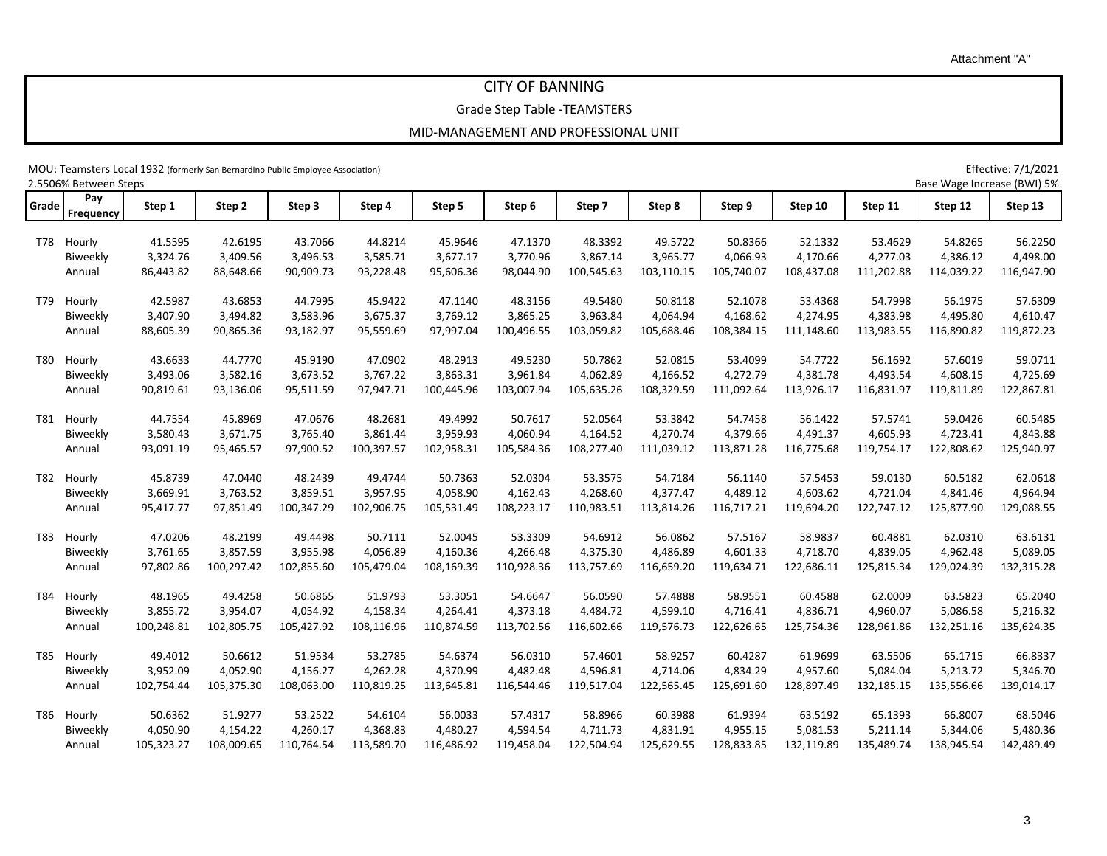3

Attachment "A"

## CITY OF BANNING

Grade Step Table -TEAMSTERS

MOU: Teamsters Local 1932 (formerly San Bernardino Public Employee Association) Effective: 7/1/2021

| 2.5506% Between Steps<br>Base Wage Increase (BWI) 5% |                         |            |            |            |            |            |            |            |            |            |            |            |            |            |
|------------------------------------------------------|-------------------------|------------|------------|------------|------------|------------|------------|------------|------------|------------|------------|------------|------------|------------|
| Grade                                                | Pay<br><b>Frequency</b> | Step 1     | Step 2     | Step 3     | Step 4     | Step 5     | Step 6     | Step 7     | Step 8     | Step 9     | Step 10    | Step 11    | Step 12    | Step 13    |
|                                                      | T78 Hourly              | 41.5595    | 42.6195    | 43.7066    | 44.8214    | 45.9646    | 47.1370    | 48.3392    | 49.5722    | 50.8366    | 52.1332    | 53.4629    | 54.8265    | 56.2250    |
|                                                      | Biweekly                | 3,324.76   | 3,409.56   | 3,496.53   | 3,585.71   | 3,677.17   | 3,770.96   | 3,867.14   | 3,965.77   | 4,066.93   | 4,170.66   | 4,277.03   | 4,386.12   | 4,498.00   |
|                                                      | Annual                  | 86,443.82  | 88,648.66  | 90,909.73  | 93,228.48  | 95,606.36  | 98,044.90  | 100,545.63 | 103,110.15 | 105,740.07 | 108,437.08 | 111,202.88 | 114,039.22 | 116,947.90 |
|                                                      |                         |            |            |            |            |            |            |            |            |            |            |            |            |            |
| T79                                                  | Hourly                  | 42.5987    | 43.6853    | 44.7995    | 45.9422    | 47.1140    | 48.3156    | 49.5480    | 50.8118    | 52.1078    | 53.4368    | 54.7998    | 56.1975    | 57.6309    |
|                                                      | Biweekly                | 3,407.90   | 3,494.82   | 3,583.96   | 3,675.37   | 3,769.12   | 3,865.25   | 3,963.84   | 4,064.94   | 4,168.62   | 4,274.95   | 4,383.98   | 4,495.80   | 4,610.47   |
|                                                      | Annual                  | 88,605.39  | 90,865.36  | 93,182.97  | 95,559.69  | 97,997.04  | 100,496.55 | 103,059.82 | 105,688.46 | 108,384.15 | 111,148.60 | 113,983.55 | 116,890.82 | 119,872.23 |
| T80                                                  | Hourly                  | 43.6633    | 44.7770    | 45.9190    | 47.0902    | 48.2913    | 49.5230    | 50.7862    | 52.0815    | 53.4099    | 54.7722    | 56.1692    | 57.6019    | 59.0711    |
|                                                      | Biweekly                | 3,493.06   | 3,582.16   | 3,673.52   | 3,767.22   | 3,863.31   | 3,961.84   | 4,062.89   | 4,166.52   | 4,272.79   | 4,381.78   | 4,493.54   | 4,608.15   | 4,725.69   |
|                                                      | Annual                  | 90,819.61  | 93,136.06  | 95,511.59  | 97,947.71  | 100,445.96 | 103,007.94 | 105,635.26 | 108,329.59 | 111,092.64 | 113,926.17 | 116,831.97 | 119,811.89 | 122,867.81 |
|                                                      |                         |            |            |            |            |            |            |            |            |            |            |            |            |            |
| T81                                                  | Hourly                  | 44.7554    | 45.8969    | 47.0676    | 48.2681    | 49.4992    | 50.7617    | 52.0564    | 53.3842    | 54.7458    | 56.1422    | 57.5741    | 59.0426    | 60.5485    |
|                                                      | Biweekly                | 3,580.43   | 3,671.75   | 3,765.40   | 3,861.44   | 3,959.93   | 4,060.94   | 4,164.52   | 4,270.74   | 4,379.66   | 4,491.37   | 4,605.93   | 4,723.41   | 4,843.88   |
|                                                      | Annual                  | 93,091.19  | 95,465.57  | 97,900.52  | 100,397.57 | 102,958.31 | 105,584.36 | 108,277.40 | 111,039.12 | 113,871.28 | 116,775.68 | 119,754.17 | 122,808.62 | 125,940.97 |
|                                                      |                         |            |            |            |            |            |            |            |            |            |            |            |            |            |
| T82                                                  | Hourly                  | 45.8739    | 47.0440    | 48.2439    | 49.4744    | 50.7363    | 52.0304    | 53.3575    | 54.7184    | 56.1140    | 57.5453    | 59.0130    | 60.5182    | 62.0618    |
|                                                      | Biweekly                | 3,669.91   | 3,763.52   | 3,859.51   | 3,957.95   | 4,058.90   | 4,162.43   | 4,268.60   | 4,377.47   | 4,489.12   | 4,603.62   | 4,721.04   | 4,841.46   | 4,964.94   |
|                                                      | Annual                  | 95,417.77  | 97,851.49  | 100,347.29 | 102,906.75 | 105,531.49 | 108,223.17 | 110,983.51 | 113,814.26 | 116,717.21 | 119,694.20 | 122,747.12 | 125,877.90 | 129,088.55 |
| T83                                                  | Hourly                  | 47.0206    | 48.2199    | 49.4498    | 50.7111    | 52.0045    | 53.3309    | 54.6912    | 56.0862    | 57.5167    | 58.9837    | 60.4881    | 62.0310    | 63.6131    |
|                                                      | Biweekly                | 3,761.65   | 3,857.59   | 3,955.98   | 4,056.89   | 4,160.36   | 4,266.48   | 4,375.30   | 4,486.89   | 4,601.33   | 4,718.70   | 4,839.05   | 4,962.48   | 5,089.05   |
|                                                      | Annual                  | 97,802.86  | 100,297.42 | 102,855.60 | 105,479.04 | 108,169.39 | 110,928.36 | 113,757.69 | 116,659.20 | 119,634.71 | 122,686.11 | 125,815.34 | 129,024.39 | 132,315.28 |
| T84                                                  | Hourly                  | 48.1965    | 49.4258    | 50.6865    | 51.9793    | 53.3051    | 54.6647    | 56.0590    | 57.4888    | 58.9551    | 60.4588    | 62.0009    | 63.5823    | 65.2040    |
|                                                      | Biweekly                | 3,855.72   | 3,954.07   | 4,054.92   | 4,158.34   | 4,264.41   | 4,373.18   | 4,484.72   | 4,599.10   | 4,716.41   | 4,836.71   | 4,960.07   | 5,086.58   | 5,216.32   |
|                                                      | Annual                  | 100,248.81 | 102,805.75 | 105,427.92 | 108,116.96 | 110,874.59 | 113,702.56 | 116,602.66 | 119,576.73 | 122,626.65 | 125,754.36 | 128,961.86 | 132,251.16 | 135,624.35 |
|                                                      |                         |            |            |            |            |            |            |            |            |            |            |            |            |            |
| T85                                                  | Hourly                  | 49.4012    | 50.6612    | 51.9534    | 53.2785    | 54.6374    | 56.0310    | 57.4601    | 58.9257    | 60.4287    | 61.9699    | 63.5506    | 65.1715    | 66.8337    |
|                                                      | Biweekly                | 3,952.09   | 4,052.90   | 4,156.27   | 4,262.28   | 4,370.99   | 4,482.48   | 4,596.81   | 4,714.06   | 4,834.29   | 4,957.60   | 5,084.04   | 5,213.72   | 5,346.70   |
|                                                      | Annual                  | 102,754.44 | 105,375.30 | 108,063.00 | 110,819.25 | 113,645.81 | 116,544.46 | 119,517.04 | 122,565.45 | 125,691.60 | 128,897.49 | 132,185.15 | 135,556.66 | 139,014.17 |
| T86                                                  | Hourly                  | 50.6362    | 51.9277    | 53.2522    | 54.6104    | 56.0033    | 57.4317    | 58.8966    | 60.3988    | 61.9394    | 63.5192    | 65.1393    | 66.8007    | 68.5046    |
|                                                      | Biweekly                | 4,050.90   | 4,154.22   | 4,260.17   | 4,368.83   | 4,480.27   | 4,594.54   | 4,711.73   | 4,831.91   | 4,955.15   | 5,081.53   | 5,211.14   | 5,344.06   | 5,480.36   |
|                                                      | Annual                  | 105,323.27 | 108,009.65 | 110,764.54 | 113,589.70 | 116,486.92 | 119,458.04 | 122,504.94 | 125,629.55 | 128,833.85 | 132,119.89 | 135,489.74 | 138,945.54 | 142,489.49 |
|                                                      |                         |            |            |            |            |            |            |            |            |            |            |            |            |            |